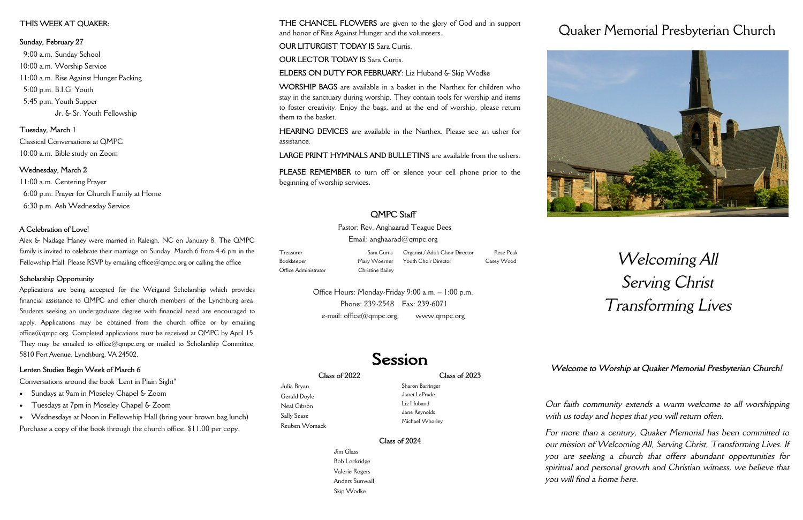#### **Class of 2022**

Julia Bryan Gerald Doyle Neal Gibson Sally Sease Reuben Womack

#### **Class of 2023**

Sharon Barringer Janet LaPrade Liz Huband Jane Reynolds Michael Whorley

#### **Class of 2024**

Jim Glass Bob Lockridge Valerie Rogers Anders Sunwall Skip Wodke

# Quaker Memorial Presbyterian Church



# *Welcoming All Serving Christ Transforming Lives*

*Our faith community extends a warm welcome to all worshipping with us today and hopes that you will return often.*

*For more than a century, Quaker Memorial has been committed to our mission of Welcoming All, Serving Christ, Transforming Lives. If you are seeking a church that offers abundant opportunities for spiritual and personal growth and Christian witness, we believe that you will find a home here.* 



Pastor: Rev. Anghaarad Teague Dees Email: anghaarad $@$ qmpc.org

Office Hours: Monday-Friday 9:00 a.m. – 1:00 p.m. Phone: 239-2548 Fax: 239-6071  $e$ -mail: office $@$ qmpc.org; www.qmpc.org

## Session

**THE CHANCEL FLOWERS** are given to the glory of God and in support and honor of Rise Against Hunger and the volunteers.

**OUR LITURGIST TODAY IS Sara Curtis.** 

**OUR LECTOR TODAY IS Sara Curtis.** 

Treasurer Sara Curtis Bookkeeper Mary Woerner Office Administrator Christine Bailey Organist / Adult Choir Director Rose Peak Youth Choir Director Casey Wood

**ELDERS ON DUTY FOR FEBRUARY**: Liz Huband & Skip Wodke

**WORSHIP BAGS** are available in a basket in the Narthex for children who stay in the sanctuary during worship. They contain tools for worship and items to foster creativity. Enjoy the bags, and at the end of worship, please return them to the basket.

**HEARING DEVICES** are available in the Narthex. Please see an usher for assistance.

**LARGE PRINT HYMNALS AND BULLETINS** are available from the ushers.

**PLEASE REMEMBER** to turn off or silence your cell phone prior to the beginning of worship services.

## **QMPC Staff**

#### **THIS WEEK AT QUAKER:**

**Sunday, February 27** 9:00 a.m. Sunday School 10:00 a.m. Worship Service 11:00 a.m. Rise Against Hunger Packing 5:00 p.m. B.I.G. Youth 5:45 p.m. Youth Supper Jr. & Sr. Youth Fellowship

**Tuesday, March 1** Classical Conversations at QMPC 10:00 a.m. Bible study on Zoom

#### **Wednesday, March 2**

11:00 a.m. Centering Prayer 6:00 p.m. Prayer for Church Family at Home 6:30 p.m. Ash Wednesday Service

#### **A Celebration of Love!**

Alex & Nadage Haney were married in Raleigh, NC on January 8. The QMPC family is invited to celebrate their marriage on Sunday, March 6 from 4-6 pm in the Fellowship Hall. Please RSVP by emailing office@qmpc.org or calling the office

#### **Scholarship Opportunity**

Applications are being accepted for the Weigand Scholarship which provides financial assistance to QMPC and other church members of the Lynchburg area. Students seeking an undergraduate degree with financial need are encouraged to apply. Applications may be obtained from the church office or by emailing office@qmpc.org. Completed applications must be received at QMPC by April 15. They may be emailed to office@qmpc.org or mailed to Scholarship Committee, 5810 Fort Avenue, Lynchburg, VA 24502.

#### **Lenten Studies Begin Week of March 6**

Conversations around the book "Lent in Plain Sight"

- Sundays at 9am in Moseley Chapel & Zoom
- Tuesdays at 7pm in Moseley Chapel & Zoom
- Wednesdays at Noon in Fellowship Hall (bring your brown bag lunch)

Purchase a copy of the book through the church office. \$11.00 per copy.

*Welcome to Worship at Quaker Memorial Presbyterian Church!*